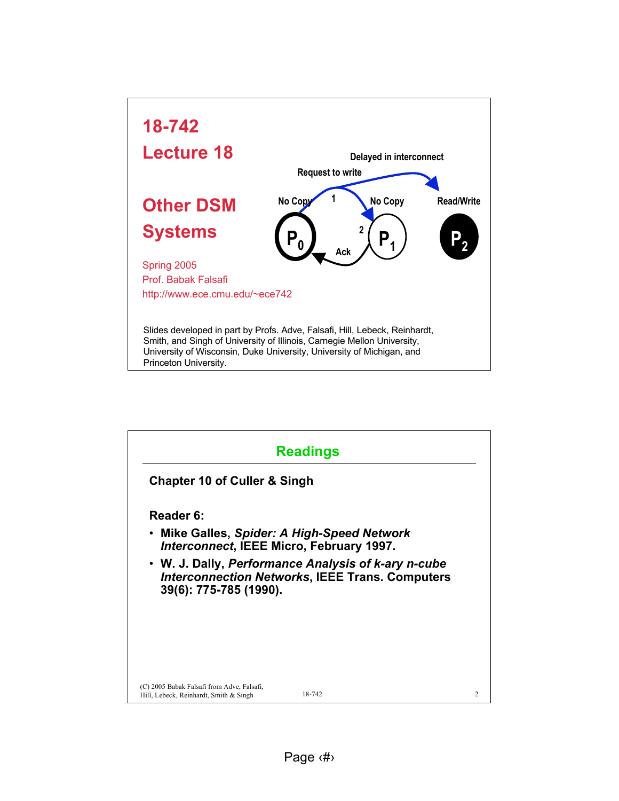

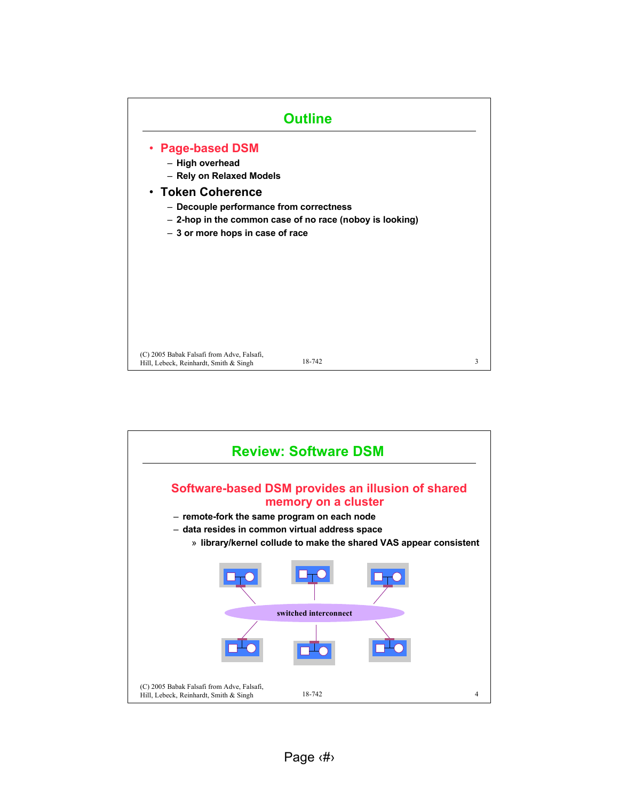

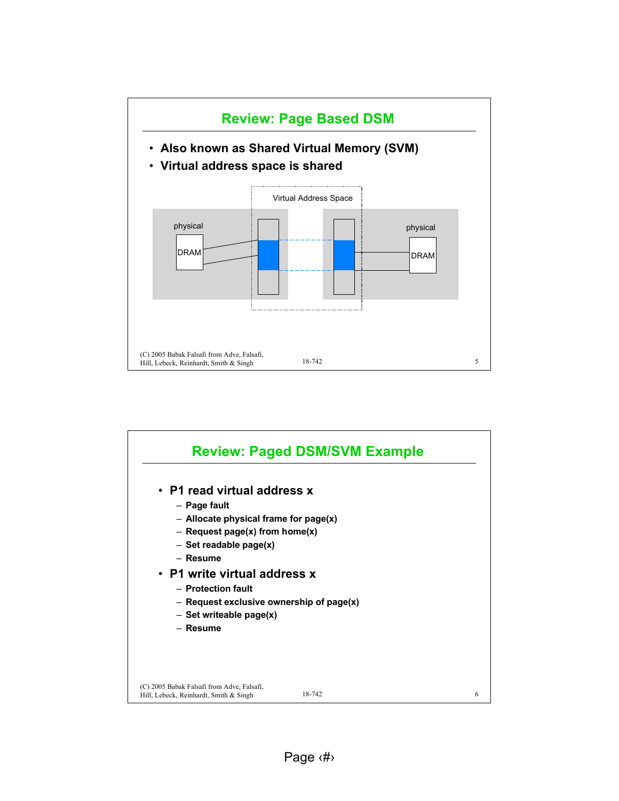

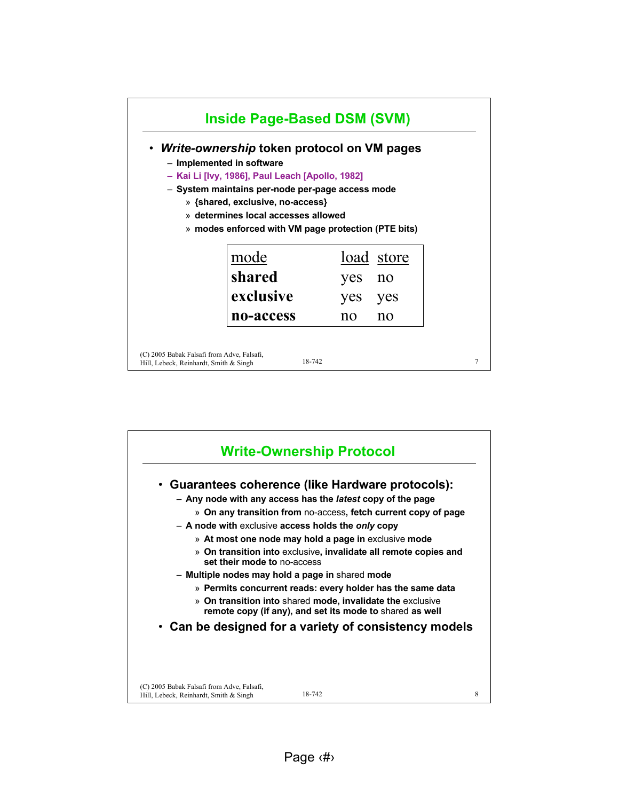

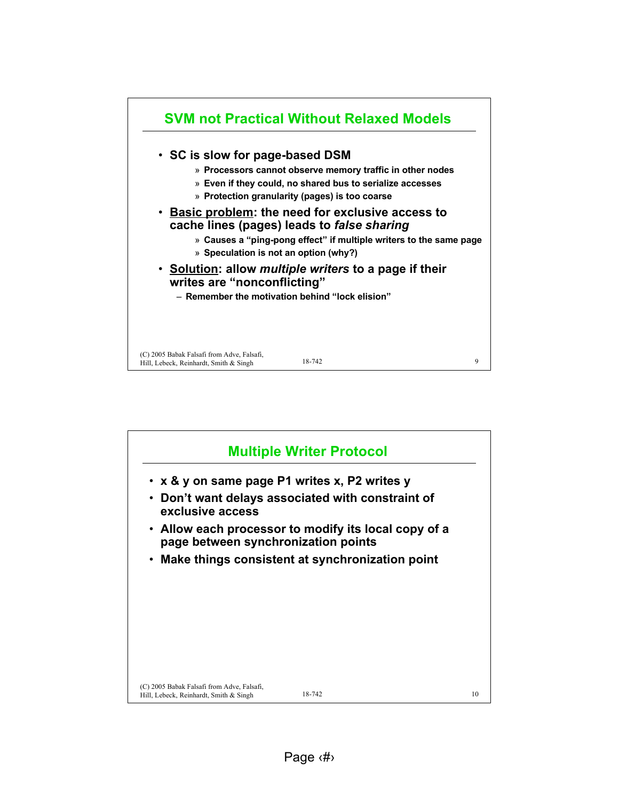

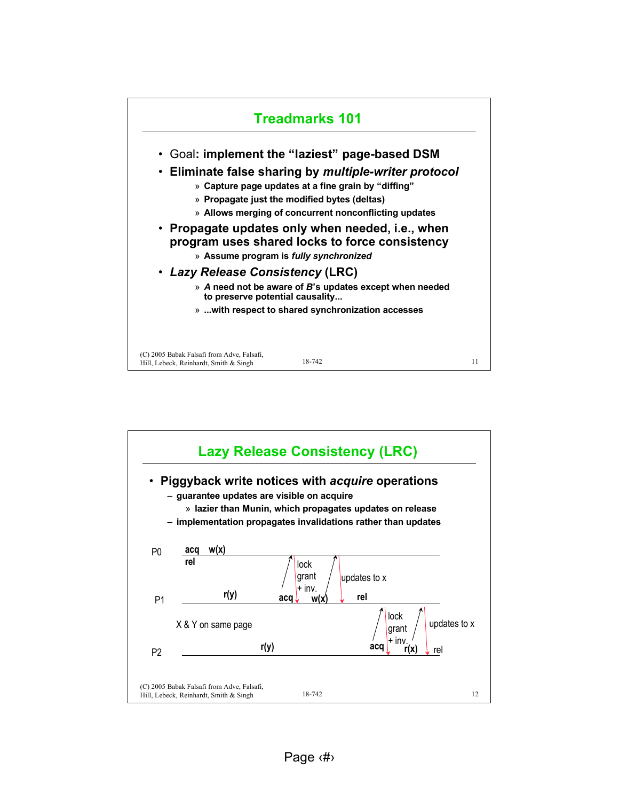

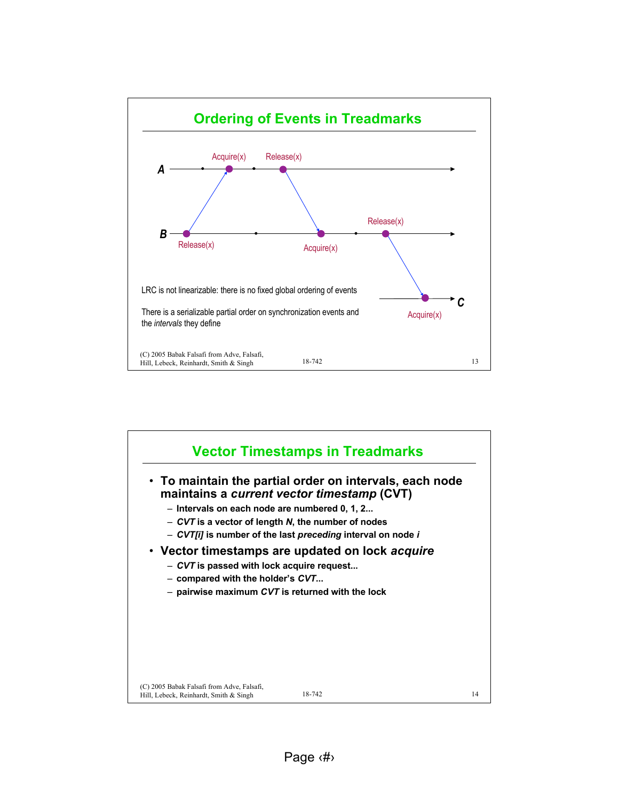

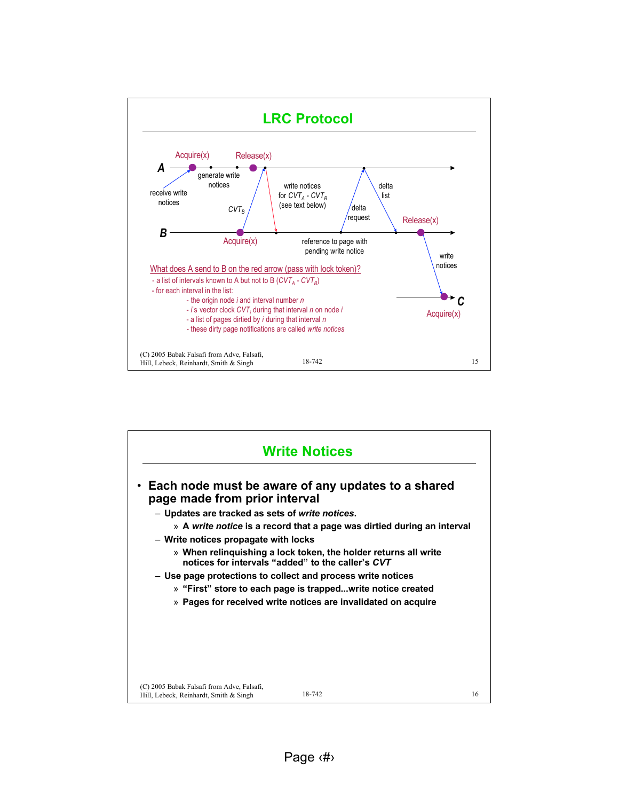

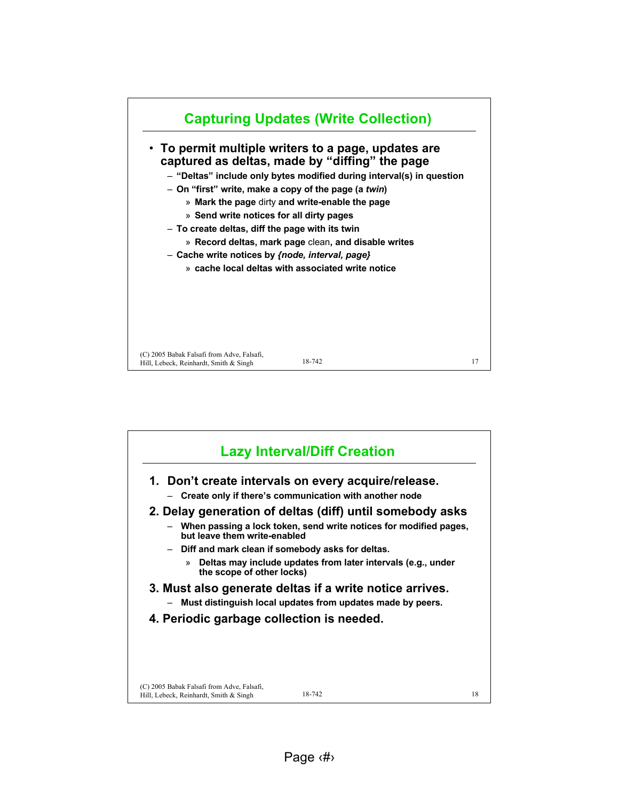

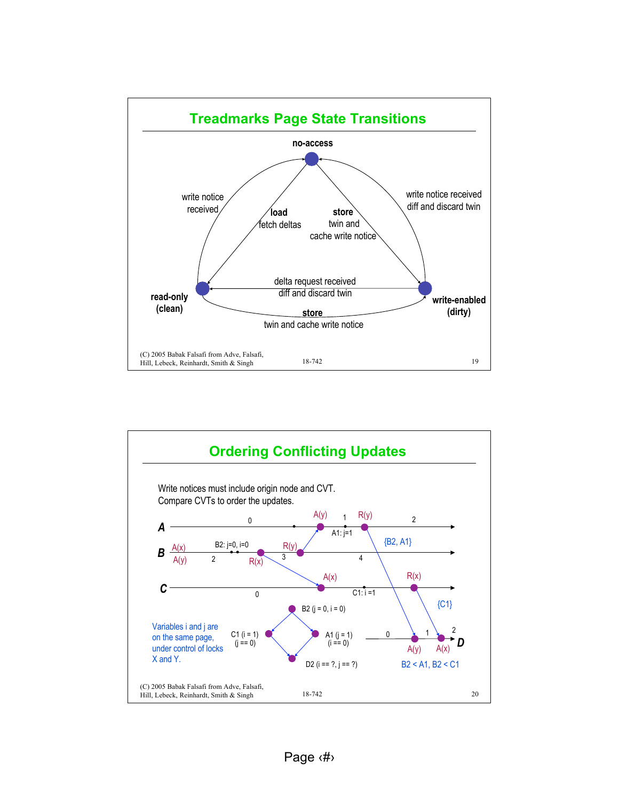

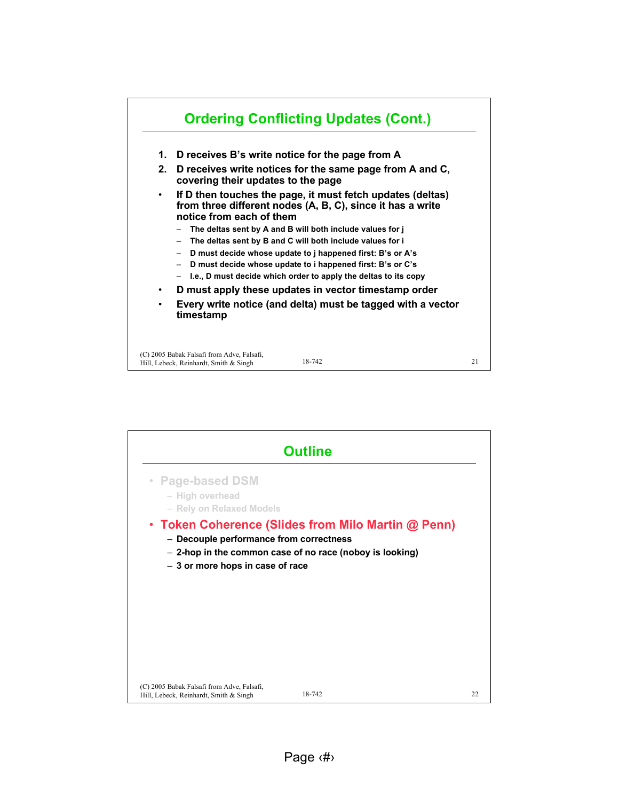

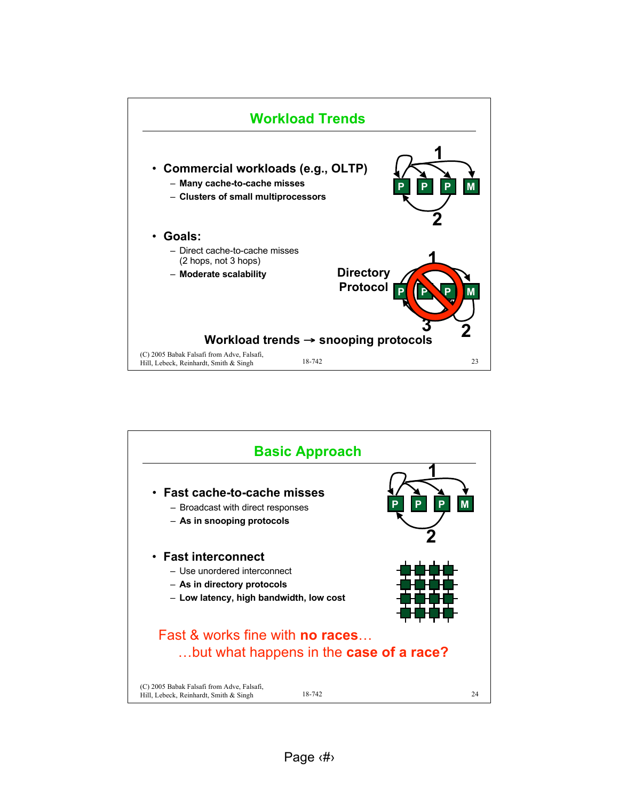

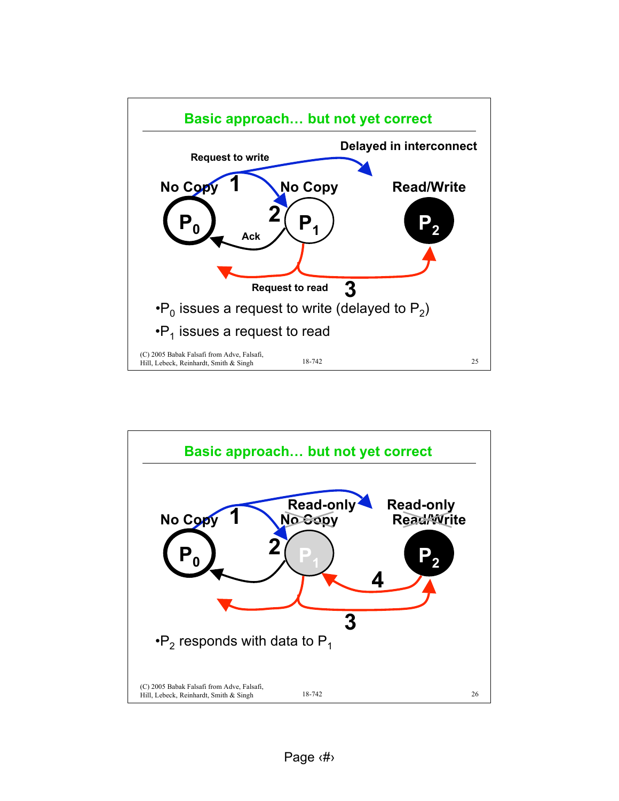

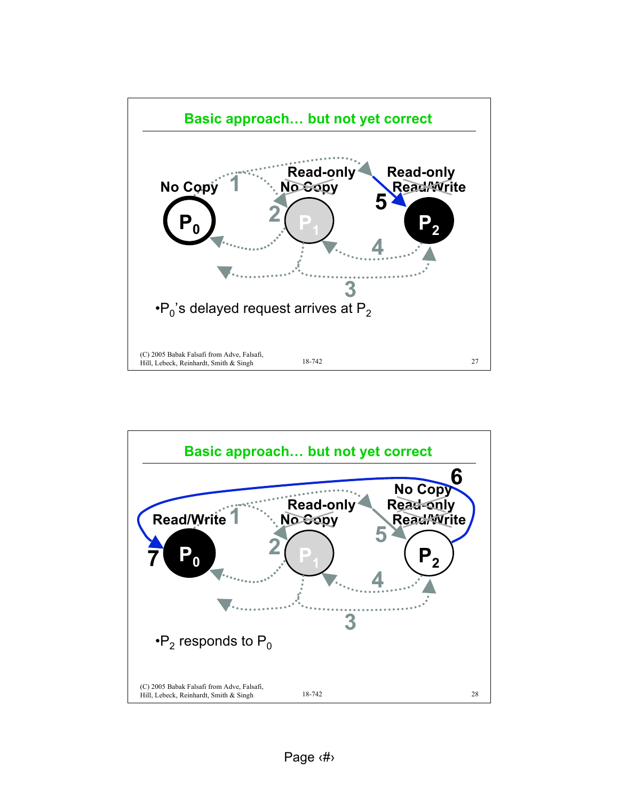

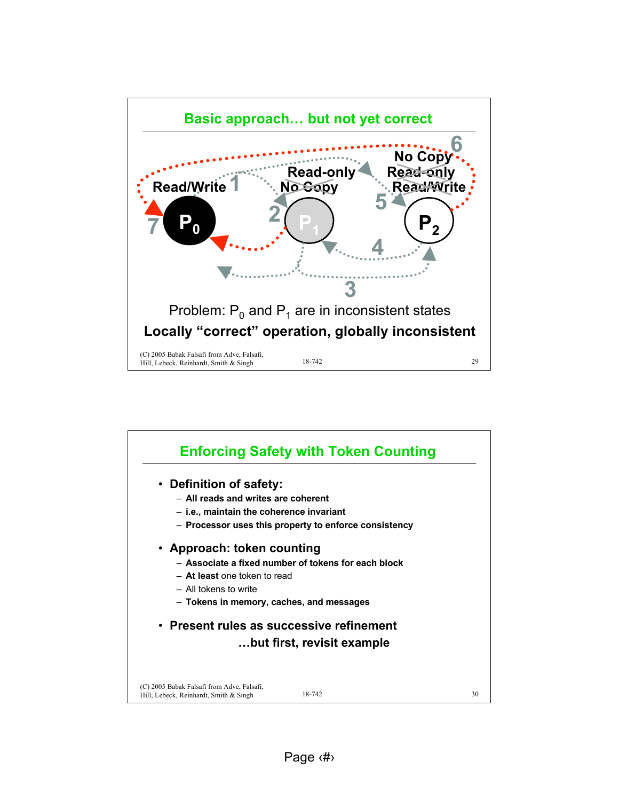

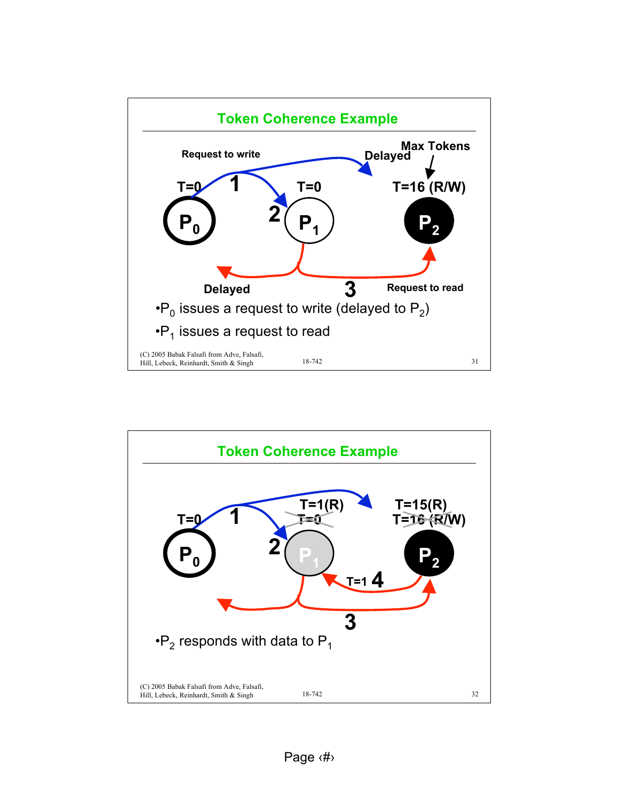

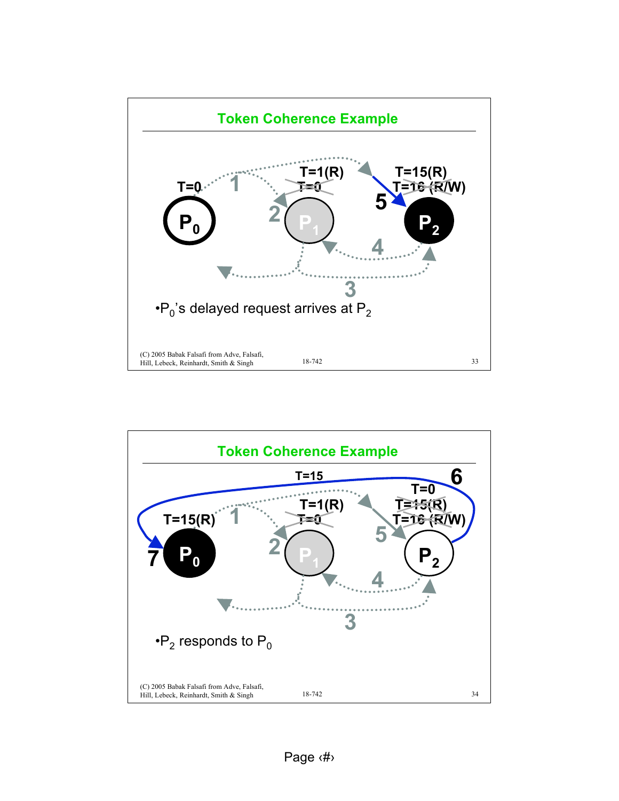

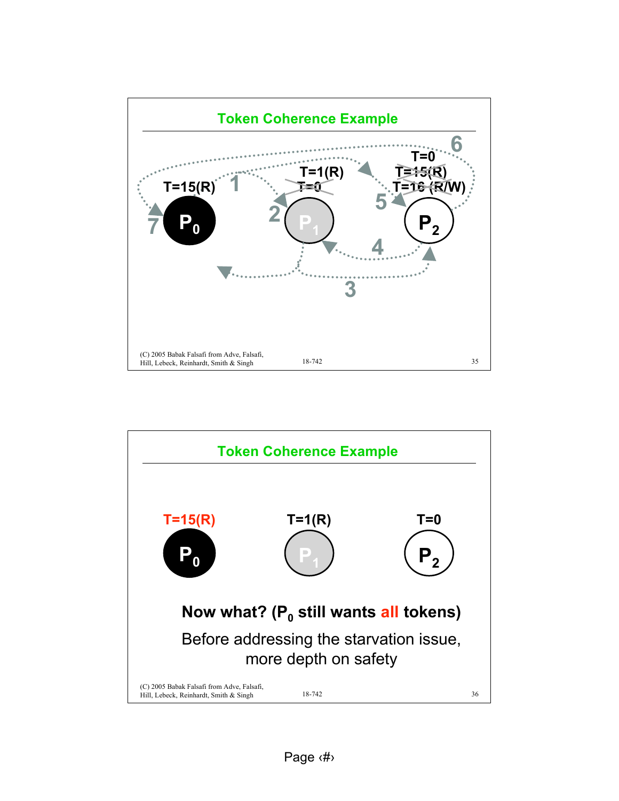

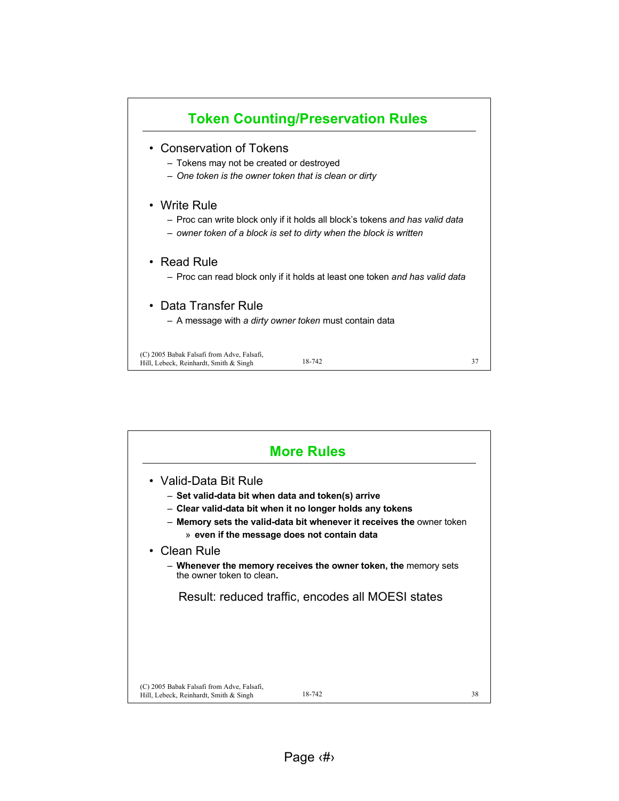

| <b>More Rules</b>                                                                                                          |                                                                                                                                    |    |
|----------------------------------------------------------------------------------------------------------------------------|------------------------------------------------------------------------------------------------------------------------------------|----|
| • Valid-Data Bit Rule<br>- Set valid-data bit when data and token(s) arrive<br>» even if the message does not contain data | - Clear valid-data bit when it no longer holds any tokens<br>- Memory sets the valid-data bit whenever it receives the owner token |    |
| • Clean Rule<br>the owner token to clean.                                                                                  | - Whenever the memory receives the owner token, the memory sets                                                                    |    |
|                                                                                                                            | Result: reduced traffic, encodes all MOESI states                                                                                  |    |
|                                                                                                                            |                                                                                                                                    |    |
| (C) 2005 Babak Falsafi from Adve, Falsafi,<br>Hill, Lebeck, Reinhardt, Smith & Singh                                       | 18-742                                                                                                                             | 38 |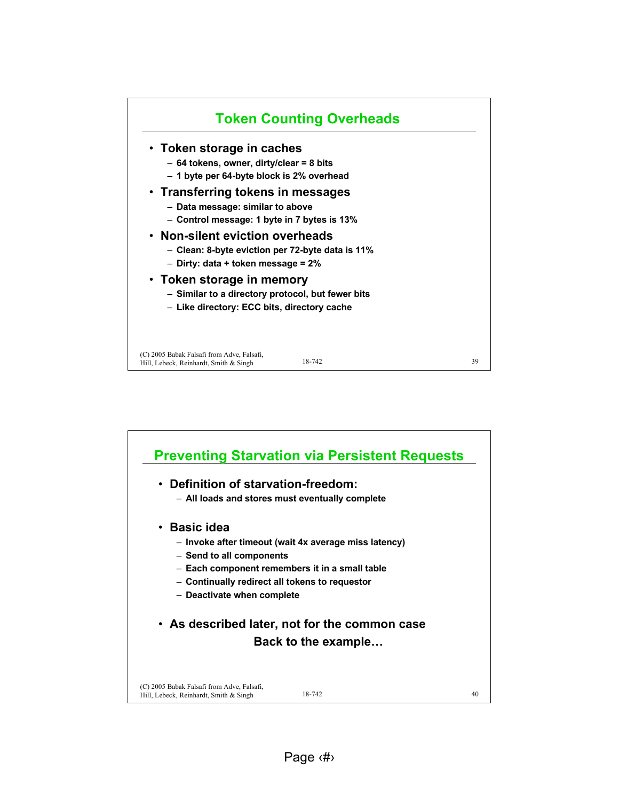

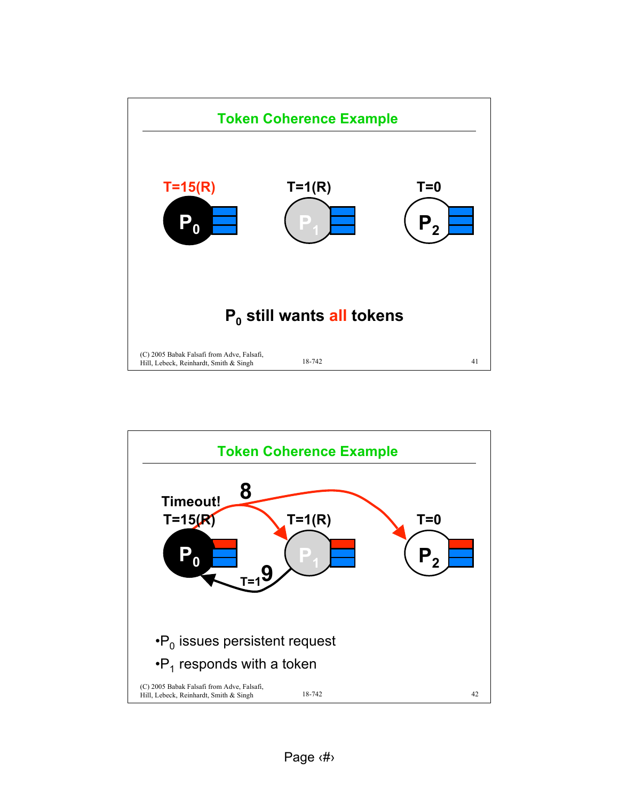

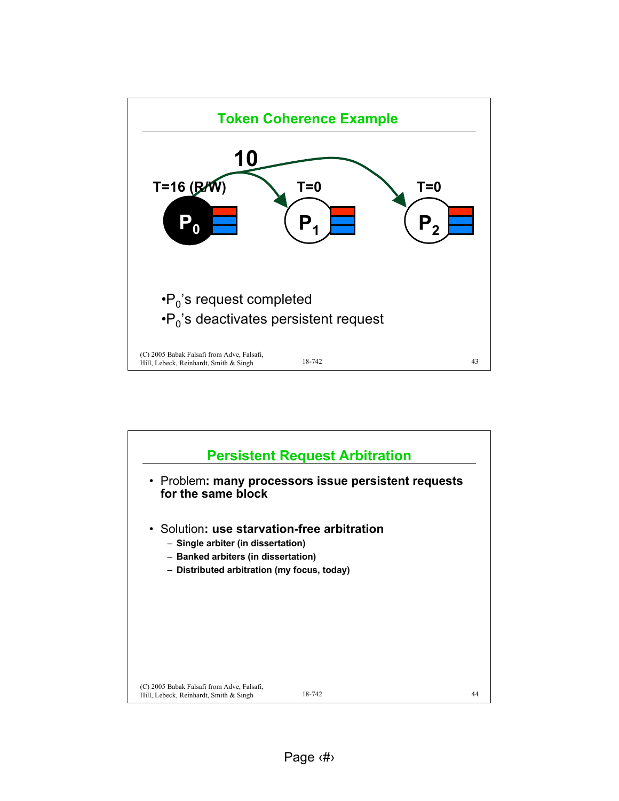

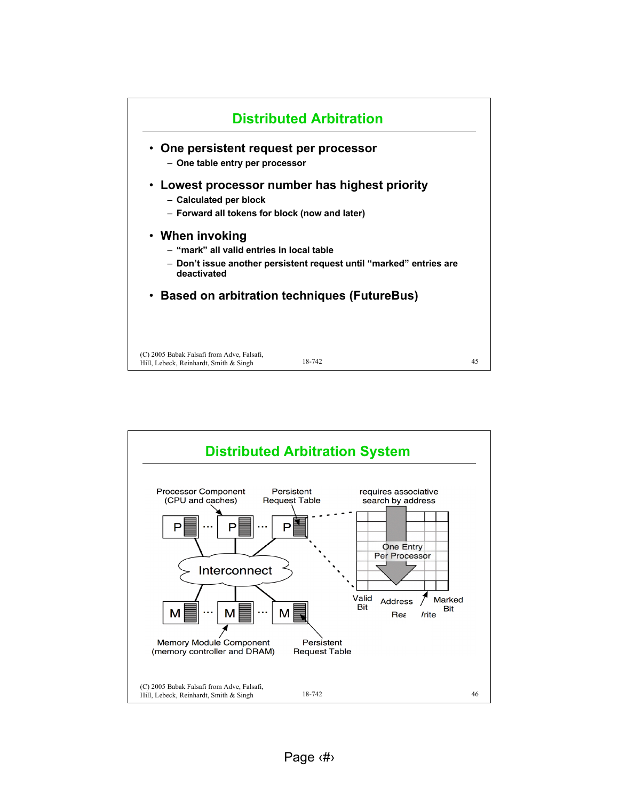

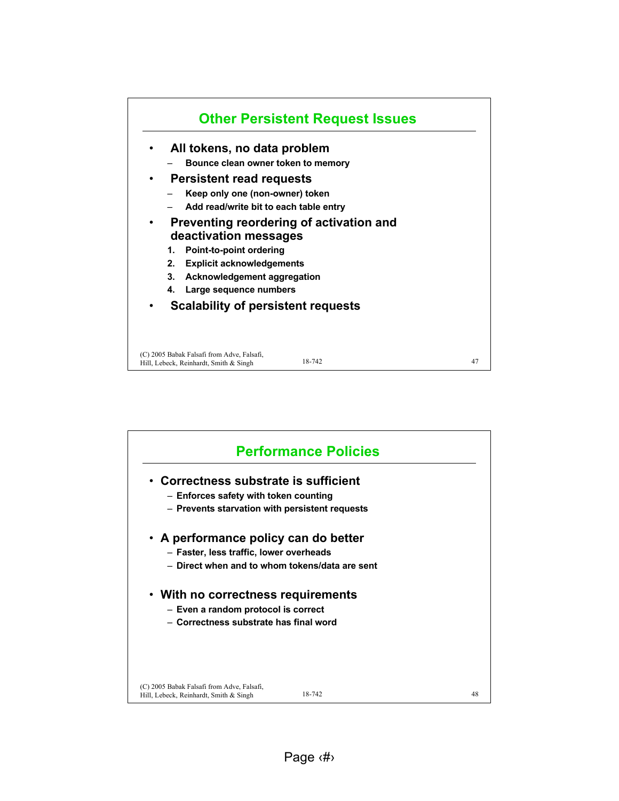

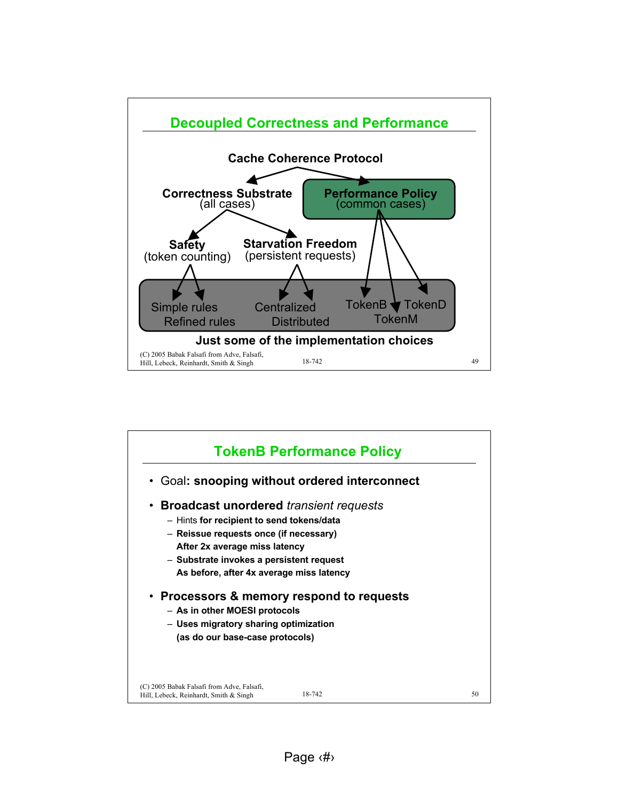

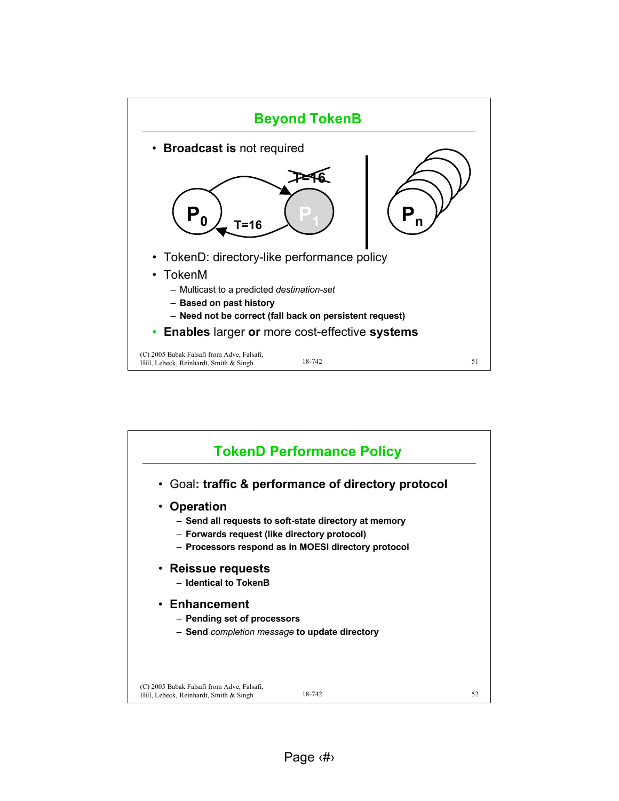